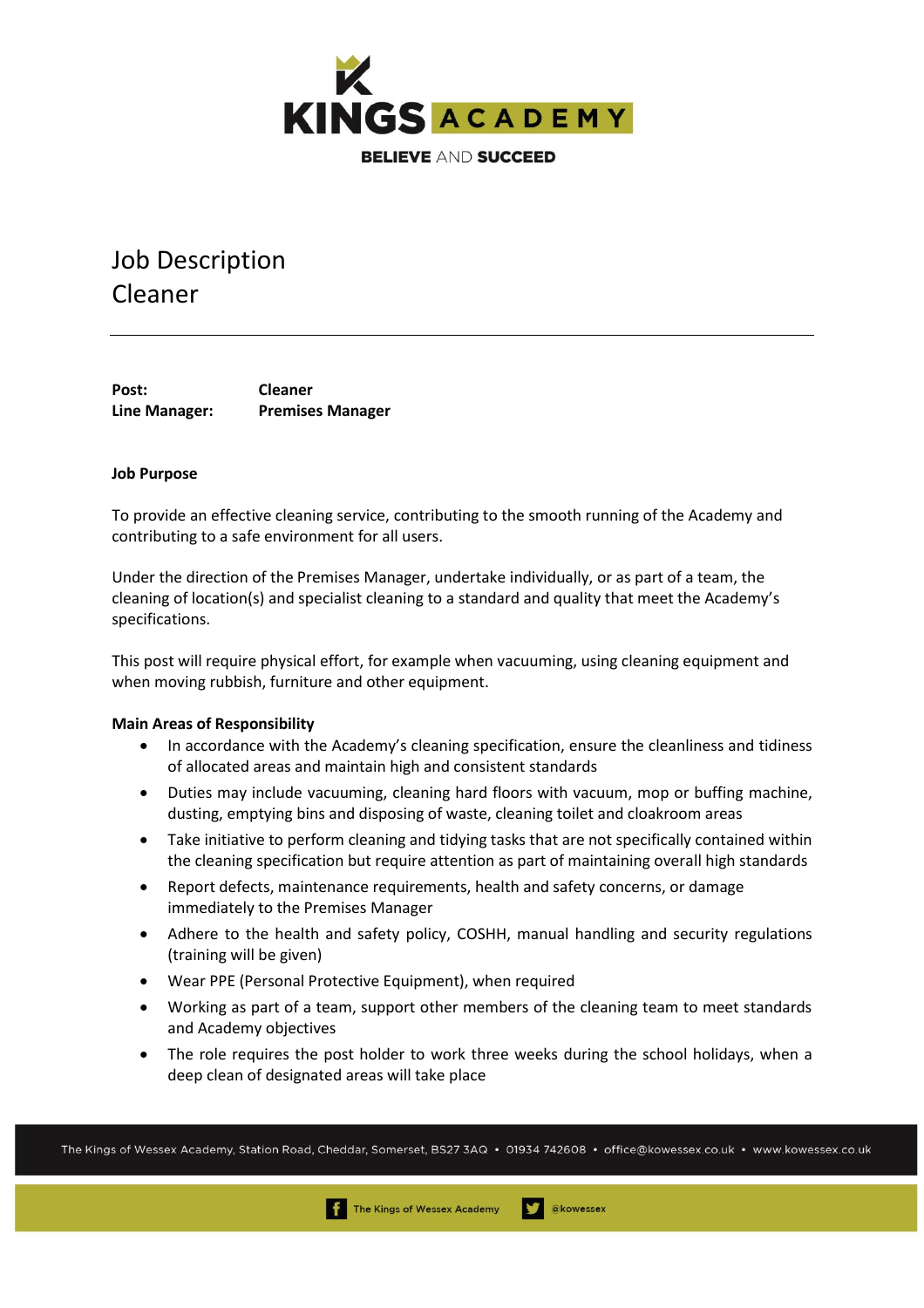

# Job Description Cleaner

**Post: Cleaner Line Manager: Premises Manager** 

## **Job Purpose**

To provide an effective cleaning service, contributing to the smooth running of the Academy and contributing to a safe environment for all users.

Under the direction of the Premises Manager, undertake individually, or as part of a team, the cleaning of location(s) and specialist cleaning to a standard and quality that meet the Academy's specifications.

This post will require physical effort, for example when vacuuming, using cleaning equipment and when moving rubbish, furniture and other equipment.

#### **Main Areas of Responsibility**

- In accordance with the Academy's cleaning specification, ensure the cleanliness and tidiness of allocated areas and maintain high and consistent standards
- Duties may include vacuuming, cleaning hard floors with vacuum, mop or buffing machine, dusting, emptying bins and disposing of waste, cleaning toilet and cloakroom areas
- Take initiative to perform cleaning and tidying tasks that are not specifically contained within the cleaning specification but require attention as part of maintaining overall high standards
- Report defects, maintenance requirements, health and safety concerns, or damage immediately to the Premises Manager
- Adhere to the health and safety policy, COSHH, manual handling and security regulations (training will be given)
- Wear PPE (Personal Protective Equipment), when required
- Working as part of a team, support other members of the cleaning team to meet standards and Academy objectives
- The role requires the post holder to work three weeks during the school holidays, when a deep clean of designated areas will take place

The Kings of Wessex Academy, Station Road, Cheddar, Somerset, BS27 3AQ • 01934 742608 • office@kowessex.co.uk • www.kowessex.co.uk

The Kings of Wessex Academy

akowessex